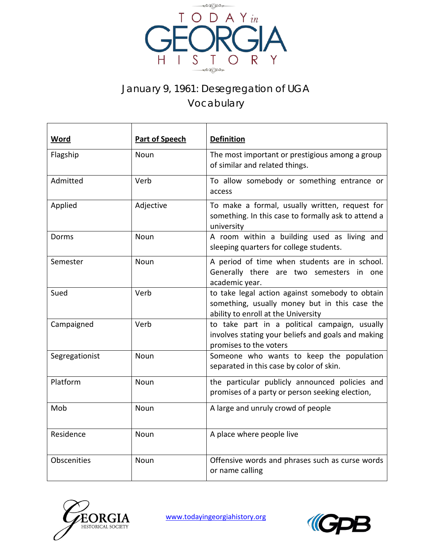

## January 9, 1961: Desegregation of UGA Vocabulary

| Word           | <b>Part of Speech</b> | <b>Definition</b>                                                                                                                       |
|----------------|-----------------------|-----------------------------------------------------------------------------------------------------------------------------------------|
| Flagship       | Noun                  | The most important or prestigious among a group<br>of similar and related things.                                                       |
| Admitted       | Verb                  | To allow somebody or something entrance or<br>access                                                                                    |
| Applied        | Adjective             | To make a formal, usually written, request for<br>something. In this case to formally ask to attend a<br>university                     |
| Dorms          | Noun                  | A room within a building used as living and<br>sleeping quarters for college students.                                                  |
| Semester       | Noun                  | A period of time when students are in school.<br>Generally there are two semesters in one<br>academic year.                             |
| Sued           | Verb                  | to take legal action against somebody to obtain<br>something, usually money but in this case the<br>ability to enroll at the University |
| Campaigned     | Verb                  | to take part in a political campaign, usually<br>involves stating your beliefs and goals and making<br>promises to the voters           |
| Segregationist | Noun                  | Someone who wants to keep the population<br>separated in this case by color of skin.                                                    |
| Platform       | Noun                  | the particular publicly announced policies and<br>promises of a party or person seeking election,                                       |
| Mob            | <b>Noun</b>           | A large and unruly crowd of people                                                                                                      |
| Residence      | <b>Noun</b>           | A place where people live                                                                                                               |
| Obscenities    | Noun                  | Offensive words and phrases such as curse words<br>or name calling                                                                      |